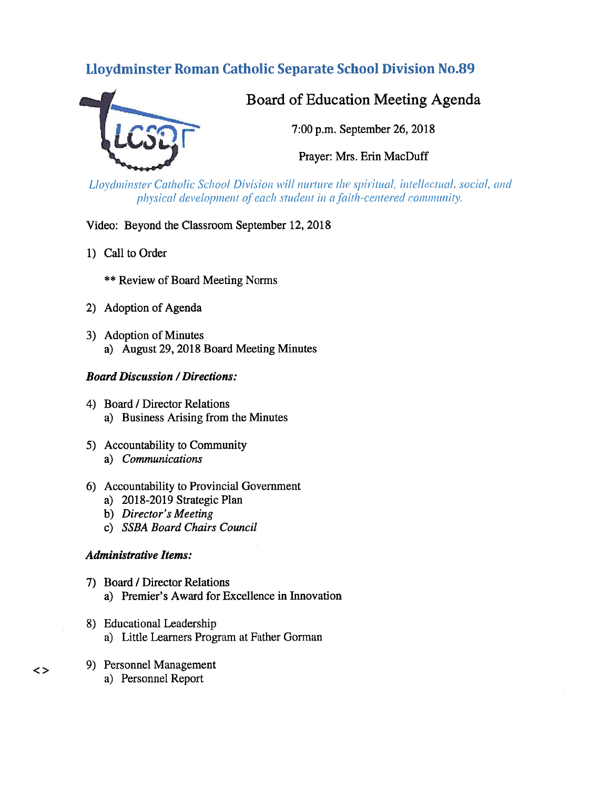# Lloydminster Roman Catholic Separate School Division No.89



# Board of Education Meeting Agenda

7:00 p.m. September 26, 2018

Prayer: Mrs. Erin MacDuff

Lloydminster Catholic School Division will nurture the spiritual, intellectual, social, and physical development of each student in a faith-centered community.

Video: Beyond the Classroom September 12, 2018

- 1) Call to Order
	- \*\* Review of Board Meeting Norms
- 2) Adoption of Agenda
- 3) Adoption of Minutes a) August 29, 2018 Board Meeting Minutes

#### Board Discussion /Directions:

- 4) Board / Director Relations a) Business Arising from the Minutes
- 5) Accountability to Community a) Communications
- 6) Accountability to Provincial Government
	- a) 2018-2019 Strategic Plan
	- b) Director's Meeting
	- c) SSBA Board Chairs Council

#### Administrative Items:

- 7) Board / Director Relations a) Premier's Award for Excellence in Innovation
- 8) Educational Leadership a) Little Learners Program at Father Gorman
- 9) Personnel Management
	- a) Personnel Report

 $\lt$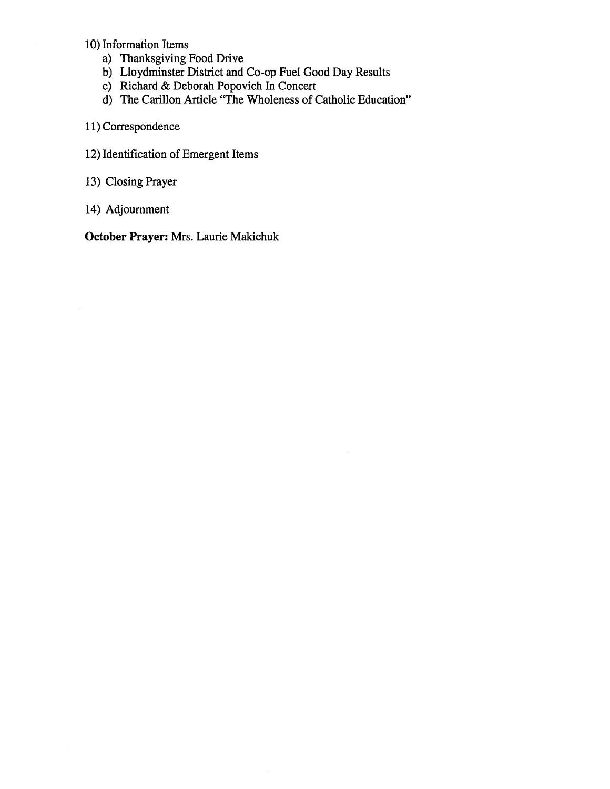# 10) Information Items

- a) Thanksgiving food Drive
- b) Lloydminster District and Co-op Fuel Good Day Results
- c) Richard & Deborah Popovich In Concert
- d) The Carillon Article "The Wholeness of Catholic Education"
- 11) Correspondence
- 12) Identification of Emergent Items
- 13) Closing Prayer
- 14) Adjournment

October Prayer: Mrs. Laurie Makichuk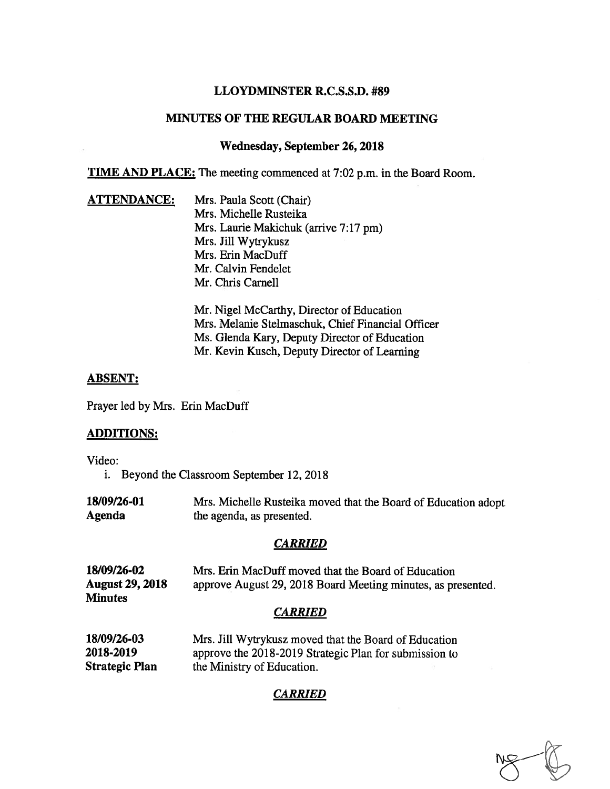# LLOYDMINSTER R.C.S.S.D. #89

# MINUTES OF THE REGULAR BOARD MEETING

#### Wednesday, September 26, 2018

TIME AND PLACE: The meeting commenced at 7:02 p.m. in the Board Room.

**ATTENDANCE:** Mrs. Paula Scott (Chair) Mrs. Michelle Rusteika Mrs. Laurie Makichuk (arrive 7:17 pm) Mrs. Jill Wytrykusz Mrs. Erin MacDuff Mr. Calvin Fendelet Mr. Chris Carnell

> Mr. Nigel McCarthy, Director of Education Mrs. Melanie Stelmaschuk, Chief financial Officer Ms. Glenda Kary, Deputy Director of Education Mr. Kevin Kusch, Deputy Director of Learning

#### ABSENT:

Prayer led by Mrs. Erin MacDuff

#### ADDITIONS:

Video:

- i. Beyond the Classroom September 12, 2018
- 18/09/26-01 Mrs. Michelle Rusteika moved that the Board of Education adopt Agenda the agenda, as presented.

#### **CARRIED**

| 18/09/26-02<br><b>August 29, 2018</b><br><b>Minutes</b> | Mrs. Erin MacDuff moved that the Board of Education<br>approve August 29, 2018 Board Meeting minutes, as presented. |
|---------------------------------------------------------|---------------------------------------------------------------------------------------------------------------------|
|                                                         | <b>CARRIED</b>                                                                                                      |
| 18/09/26-03<br>2018-2019                                | Mrs. Jill Wytrykusz moved that the Board of Education<br>approve the 2018-2019 Strategic Plan for submission to     |

Strategic Plan the Ministry of Education.

# CARRIED